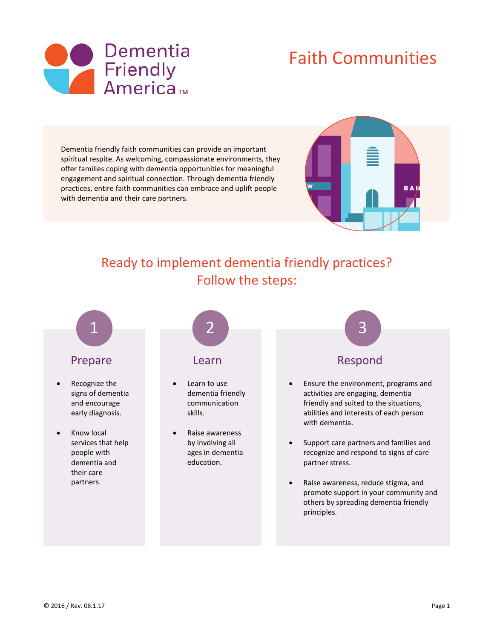

# Faith Communities

Dementia friendly faith communities can provide an important spiritual respite. As welcoming, compassionate environments, they offer families coping with dementia opportunities for meaningful engagement and spiritual connection. Through dementia friendly practices, entire faith communities can embrace and uplift people with dementia and their care partners.



# Ready to implement dementia friendly practices? Follow the steps:

# Prepare

- Recognize the signs of dementia and encourage early diagnosis.
- Know local services that help people with dementia and their care partners.



## **Learn**

- Learn to use dementia friendly communication skills.
- Raise awareness by involving all ages in dementia education.



## Respond

- Ensure the environment, programs and activities are engaging, dementia friendly and suited to the situations, abilities and interests of each person with dementia.
- Support care partners and families and recognize and respond to signs of care partner stress.
- Raise awareness, reduce stigma, and promote support in your community and others by spreading dementia friendly principles.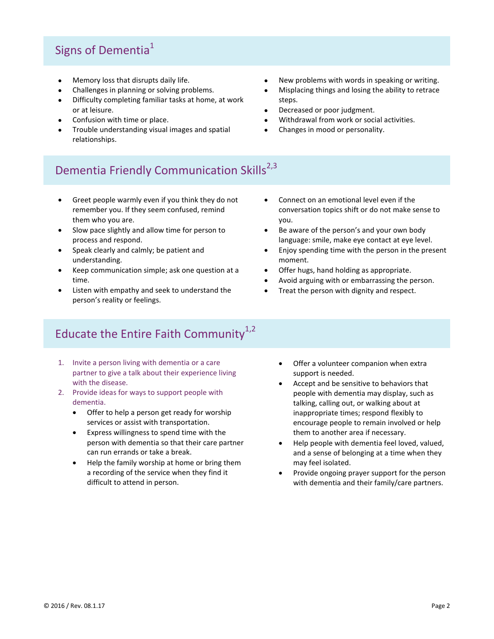# Signs of Dementia<sup>1</sup>

- Memory loss that disrupts daily life.
- Challenges in planning or solving problems.
- Difficulty completing familiar tasks at home, at work or at leisure.
- Confusion with time or place.
- Trouble understanding visual images and spatial relationships.
- New problems with words in speaking or writing.
- Misplacing things and losing the ability to retrace steps.
- Decreased or poor judgment.
- Withdrawal from work or social activities.
- Changes in mood or personality.

# Dementia Friendly Communication Skills<sup>2,3</sup>

- Greet people warmly even if you think they do not remember you. If they seem confused, remind them who you are.
- Slow pace slightly and allow time for person to process and respond.
- Speak clearly and calmly; be patient and understanding.
- Keep communication simple; ask one question at a time.
- Listen with empathy and seek to understand the person's reality or feelings.
- Connect on an emotional level even if the conversation topics shift or do not make sense to you.
- Be aware of the person's and your own body language: smile, make eye contact at eye level.
- Enjoy spending time with the person in the present moment.
- Offer hugs, hand holding as appropriate.
- Avoid arguing with or embarrassing the person.
- Treat the person with dignity and respect.

# Educate the Entire Faith Community $1,2$

- 1. Invite a person living with dementia or a care partner to give a talk about their experience living with the disease.
- 2. Provide ideas for ways to support people with dementia.
	- Offer to help a person get ready for worship services or assist with transportation.
	- Express willingness to spend time with the person with dementia so that their care partner can run errands or take a break.
	- Help the family worship at home or bring them a recording of the service when they find it difficult to attend in person.
- Offer a volunteer companion when extra support is needed.
- Accept and be sensitive to behaviors that people with dementia may display, such as talking, calling out, or walking about at inappropriate times; respond flexibly to encourage people to remain involved or help them to another area if necessary.
- Help people with dementia feel loved, valued, and a sense of belonging at a time when they may feel isolated.
- Provide ongoing prayer support for the person with dementia and their family/care partners.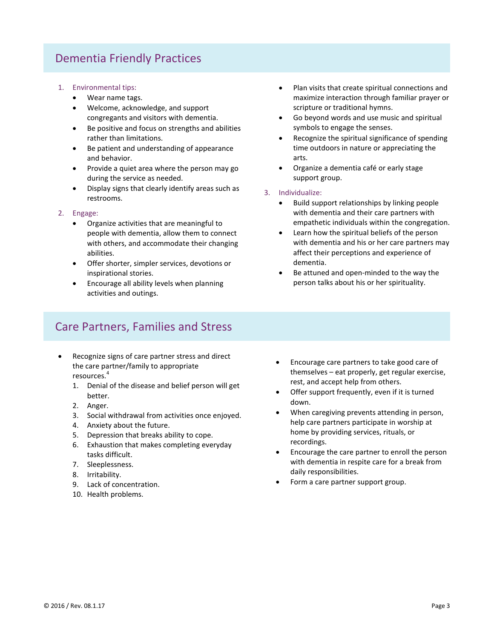## Dementia Friendly Practices

- 1. Environmental tips:
	- Wear name tags.
	- Welcome, acknowledge, and support congregants and visitors with dementia.
	- Be positive and focus on strengths and abilities rather than limitations.
	- Be patient and understanding of appearance and behavior.
	- Provide a quiet area where the person may go during the service as needed.
	- Display signs that clearly identify areas such as restrooms.

#### 2. Engage:

- Organize activities that are meaningful to people with dementia, allow them to connect with others, and accommodate their changing abilities.
- Offer shorter, simpler services, devotions or inspirational stories.
- Encourage all ability levels when planning activities and outings.

## Care Partners, Families and Stress

- Recognize signs of care partner stress and direct the care partner/family to appropriate resources.<sup>4</sup>
	- 1. Denial of the disease and belief person will get better.
	- 2. Anger.
	- 3. Social withdrawal from activities once enjoyed.
	- 4. Anxiety about the future.
	- 5. Depression that breaks ability to cope.
	- 6. Exhaustion that makes completing everyday tasks difficult.
	- 7. Sleeplessness.
	- 8. Irritability.
	- 9. Lack of concentration.
	- 10. Health problems.
- Plan visits that create spiritual connections and maximize interaction through familiar prayer or scripture or traditional hymns.
- Go beyond words and use music and spiritual symbols to engage the senses.
- Recognize the spiritual significance of spending time outdoors in nature or appreciating the arts.
- Organize a dementia café or early stage support group.
- 3. Individualize:
	- Build support relationships by linking people with dementia and their care partners with empathetic individuals within the congregation.
	- Learn how the spiritual beliefs of the person with dementia and his or her care partners may affect their perceptions and experience of dementia.
	- Be attuned and open-minded to the way the person talks about his or her spirituality.

- Encourage care partners to take good care of themselves – eat properly, get regular exercise, rest, and accept help from others.
- Offer support frequently, even if it is turned down.
- When caregiving prevents attending in person, help care partners participate in worship at home by providing services, rituals, or recordings.
- Encourage the care partner to enroll the person with dementia in respite care for a break from daily responsibilities.
- Form a care partner support group.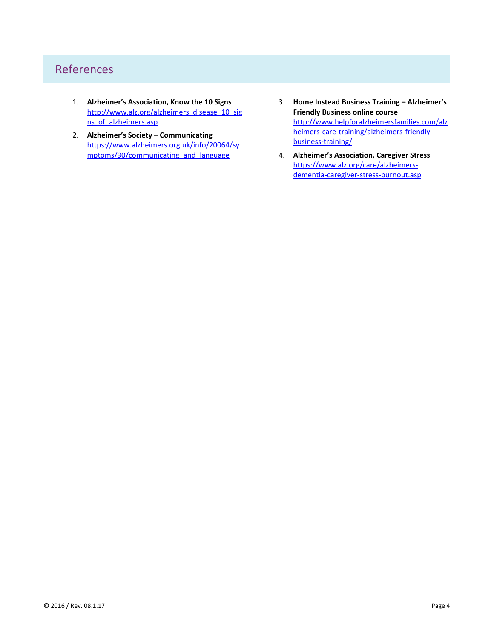## References

- 1. **Alzheimer's Association, Know the 10 Signs** [http://www.alz.org/alzheimers\\_disease\\_10\\_sig](http://www.alz.org/alzheimers_disease_10_signs_of_alzheimers.asp) [ns\\_of\\_alzheimers.asp](http://www.alz.org/alzheimers_disease_10_signs_of_alzheimers.asp)
- 2. **Alzheimer's Society – Communicating** [https://www.alzheimers.org.uk/info/20064/sy](https://www.alzheimers.org.uk/info/20064/symptoms/90/communicating_and_language) [mptoms/90/communicating\\_and\\_language](https://www.alzheimers.org.uk/info/20064/symptoms/90/communicating_and_language)
- 3. **Home Instead Business Training – Alzheimer's Friendly Business online course** [http://www.helpforalzheimersfamilies.com/alz](http://www.helpforalzheimersfamilies.com/alzheimers-care-training/alzheimers-friendly-business-training/) [heimers-care-training/alzheimers-friendly](http://www.helpforalzheimersfamilies.com/alzheimers-care-training/alzheimers-friendly-business-training/)[business-training/](http://www.helpforalzheimersfamilies.com/alzheimers-care-training/alzheimers-friendly-business-training/)
- 4. **Alzheimer's Association, Caregiver Stress** [https://www.alz.org/care/alzheimers](https://www.alz.org/care/alzheimers-dementia-caregiver-stress-burnout.asp)[dementia-caregiver-stress-burnout.asp](https://www.alz.org/care/alzheimers-dementia-caregiver-stress-burnout.asp)